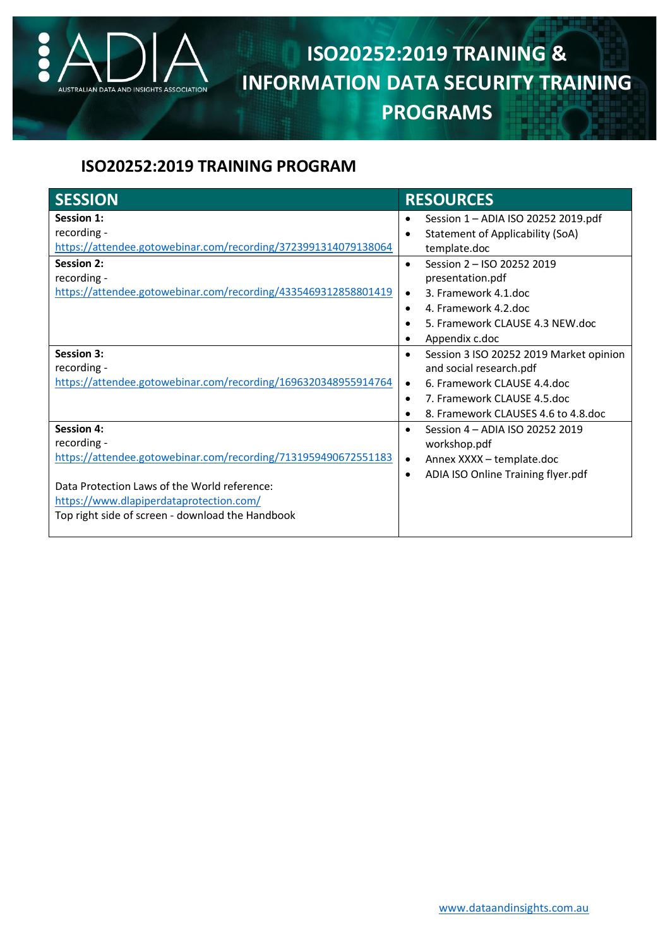

## **ISO20252:2019 TRAINING & INFORMATION DATA SECURITY TRAINING PROGRAMS**

## **ISO20252:2019 TRAINING PROGRAM**

| <b>SESSION</b>                                                 | <b>RESOURCES</b>                                     |
|----------------------------------------------------------------|------------------------------------------------------|
| <b>Session 1:</b>                                              | Session 1 - ADIA ISO 20252 2019.pdf                  |
| recording -                                                    | Statement of Applicability (SoA)<br>$\bullet$        |
| https://attendee.gotowebinar.com/recording/3723991314079138064 | template.doc                                         |
| <b>Session 2:</b>                                              | Session 2 - ISO 20252 2019<br>$\bullet$              |
| recording -                                                    | presentation.pdf                                     |
| https://attendee.gotowebinar.com/recording/4335469312858801419 | 3. Framework 4.1.doc<br>$\bullet$                    |
|                                                                | 4. Framework 4.2 doc<br>$\bullet$                    |
|                                                                | 5. Framework CLAUSE 4.3 NEW.doc<br>$\bullet$         |
|                                                                | Appendix c.doc<br>٠                                  |
| <b>Session 3:</b>                                              | Session 3 ISO 20252 2019 Market opinion<br>$\bullet$ |
| recording -                                                    | and social research.pdf                              |
| https://attendee.gotowebinar.com/recording/1696320348955914764 | 6. Framework CLAUSE 4.4.doc<br>$\bullet$             |
|                                                                | 7. Framework CLAUSE 4.5.doc<br>$\bullet$             |
|                                                                | 8. Framework CLAUSES 4.6 to 4.8.doc<br>$\bullet$     |
| <b>Session 4:</b>                                              | Session 4 - ADIA ISO 20252 2019<br>$\bullet$         |
| recording -                                                    | workshop.pdf                                         |
| https://attendee.gotowebinar.com/recording/7131959490672551183 | Annex XXXX - template.doc<br>$\bullet$               |
|                                                                | ADIA ISO Online Training flyer.pdf<br>$\bullet$      |
| Data Protection Laws of the World reference:                   |                                                      |
| https://www.dlapiperdataprotection.com/                        |                                                      |
| Top right side of screen - download the Handbook               |                                                      |
|                                                                |                                                      |